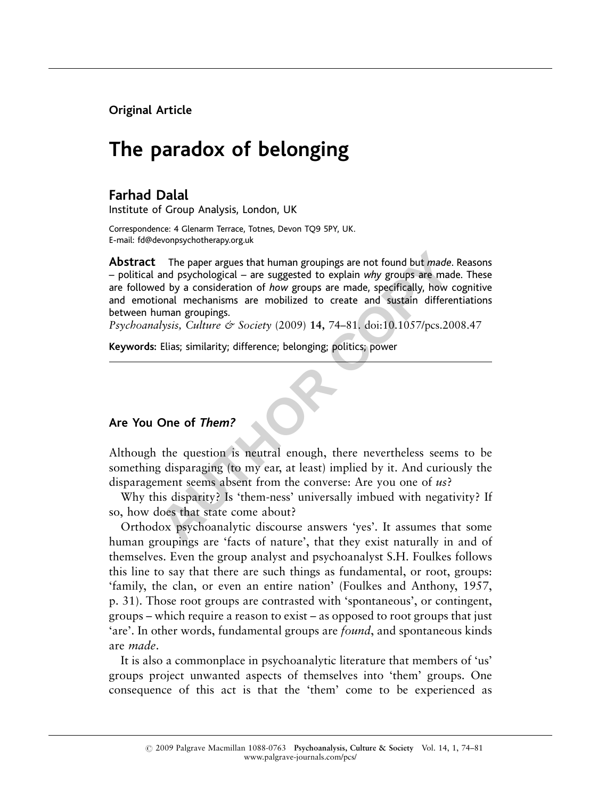Original Article

# The paradox of belonging

## Farhad Dalal

Institute of Group Analysis, London, UK

Correspondence: 4 Glenarm Terrace, Totnes, Devon TQ9 5PY, UK. E-mail: fd@devonpsychotherapy.org.uk

The paper argues that human groupings are not found but *made*. Read pychological – are suggested to explain why groups are made.<br>
Ed by a consideration of *how* groups are made, specifically, how cognomal mechanisms are m Abstract The paper argues that human groupings are not found but *made*. Reasons – political and psychological – are suggested to explain why groups are made. These are followed by a consideration of how groups are made, specifically, how cognitive and emotional mechanisms are mobilized to create and sustain differentiations between human groupings.

Psychoanalysis, Culture & Society (2009) 14, 74-81. doi:10.1057/pcs.2008.47

Keywords: Elias; similarity; difference; belonging; politics; power

## Are You One of Them?

Although the question is neutral enough, there nevertheless seems to be something disparaging (to my ear, at least) implied by it. And curiously the disparagement seems absent from the converse: Are you one of us?

Why this disparity? Is 'them-ness' universally imbued with negativity? If so, how does that state come about?

Orthodox psychoanalytic discourse answers 'yes'. It assumes that some human groupings are 'facts of nature', that they exist naturally in and of themselves. Even the group analyst and psychoanalyst S.H. Foulkes follows this line to say that there are such things as fundamental, or root, groups: 'family, the clan, or even an entire nation' (Foulkes and Anthony, 1957, p. 31). Those root groups are contrasted with 'spontaneous', or contingent, groups – which require a reason to exist – as opposed to root groups that just 'are'. In other words, fundamental groups are found, and spontaneous kinds are made.

It is also a commonplace in psychoanalytic literature that members of 'us' groups project unwanted aspects of themselves into 'them' groups. One consequence of this act is that the 'them' come to be experienced as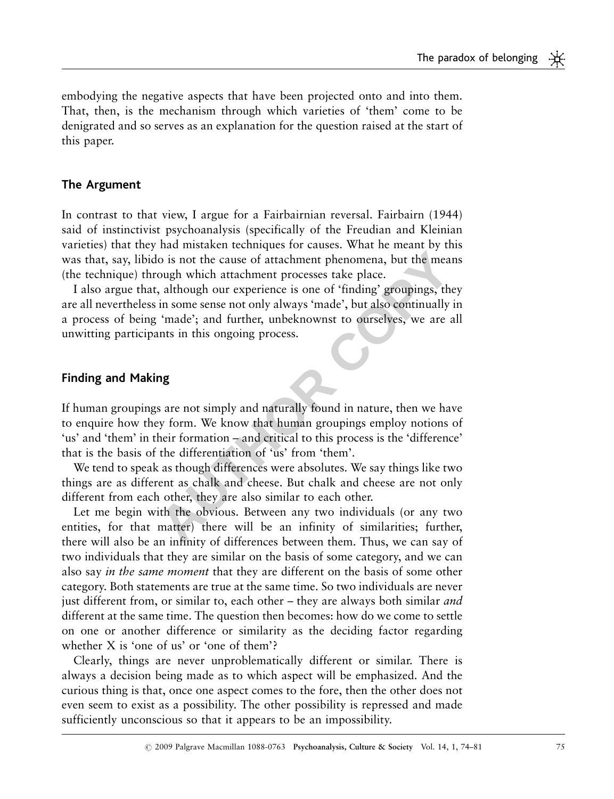embodying the negative aspects that have been projected onto and into them. That, then, is the mechanism through which varieties of 'them' come to be denigrated and so serves as an explanation for the question raised at the start of this paper.

#### The Argument

In contrast to that view, I argue for a Fairbairnian reversal. Fairbairn (1944) said of instinctivist psychoanalysis (specifically of the Freudian and Kleinian varieties) that they had mistaken techniques for causes. What he meant by this was that, say, libido is not the cause of attachment phenomena, but the means (the technique) through which attachment processes take place.

o is not the cause of attachment phenomena, but the means<br>ough which attachment processes take place.<br>, although our experience is one of 'finding' groupings, they<br>in some sense not only always 'made', but also continually I also argue that, although our experience is one of 'finding' groupings, they are all nevertheless in some sense not only always 'made', but also continually in a process of being 'made'; and further, unbeknownst to ourselves, we are all unwitting participants in this ongoing process.

#### Finding and Making

If human groupings are not simply and naturally found in nature, then we have to enquire how they form. We know that human groupings employ notions of 'us' and 'them' in their formation – and critical to this process is the 'difference' that is the basis of the differentiation of 'us' from 'them'.

We tend to speak as though differences were absolutes. We say things like two things are as different as chalk and cheese. But chalk and cheese are not only different from each other, they are also similar to each other.

Let me begin with the obvious. Between any two individuals (or any two entities, for that matter) there will be an infinity of similarities; further, there will also be an infinity of differences between them. Thus, we can say of two individuals that they are similar on the basis of some category, and we can also say in the same moment that they are different on the basis of some other category. Both statements are true at the same time. So two individuals are never just different from, or similar to, each other – they are always both similar and different at the same time. The question then becomes: how do we come to settle on one or another difference or similarity as the deciding factor regarding whether X is 'one of us' or 'one of them'?

Clearly, things are never unproblematically different or similar. There is always a decision being made as to which aspect will be emphasized. And the curious thing is that, once one aspect comes to the fore, then the other does not even seem to exist as a possibility. The other possibility is repressed and made sufficiently unconscious so that it appears to be an impossibility.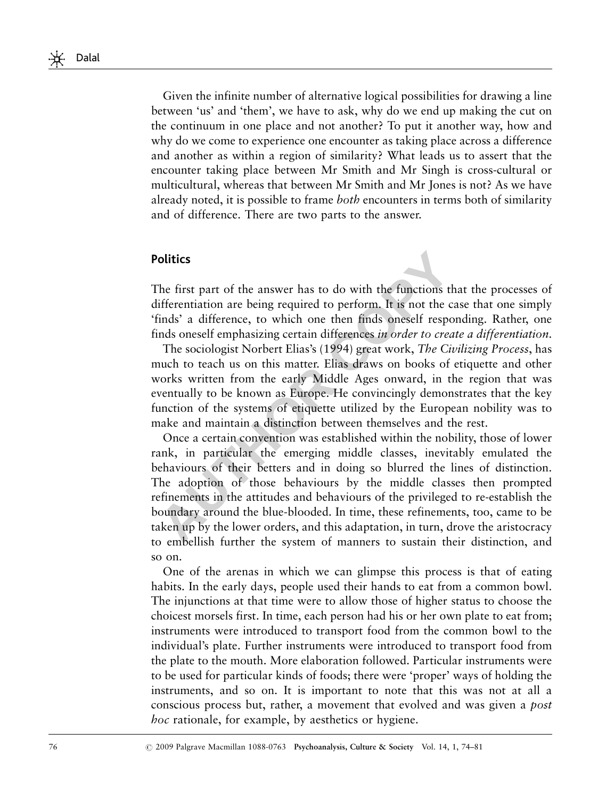Given the infinite number of alternative logical possibilities for drawing a line between 'us' and 'them', we have to ask, why do we end up making the cut on the continuum in one place and not another? To put it another way, how and why do we come to experience one encounter as taking place across a difference and another as within a region of similarity? What leads us to assert that the encounter taking place between Mr Smith and Mr Singh is cross-cultural or multicultural, whereas that between Mr Smith and Mr Jones is not? As we have already noted, it is possible to frame both encounters in terms both of similarity and of difference. There are two parts to the answer.

#### Politics

The first part of the answer has to do with the functions that the processes of differentiation are being required to perform. It is not the case that one simply 'finds' a difference, to which one then finds oneself responding. Rather, one finds oneself emphasizing certain differences in order to create a differentiation.

The sociologist Norbert Elias's (1994) great work, The Civilizing Process, has much to teach us on this matter. Elias draws on books of etiquette and other works written from the early Middle Ages onward, in the region that was eventually to be known as Europe. He convincingly demonstrates that the key function of the systems of etiquette utilized by the European nobility was to make and maintain a distinction between themselves and the rest.

**Politics**<br>
The first part of the answer has to do with the functions that<br>
ifferentiation are being required to perform. It is not the cas<br>
finds' a difference, to which one then finds oneself responneds<br>
oneself emphasiz Once a certain convention was established within the nobility, those of lower rank, in particular the emerging middle classes, inevitably emulated the behaviours of their betters and in doing so blurred the lines of distinction. The adoption of those behaviours by the middle classes then prompted refinements in the attitudes and behaviours of the privileged to re-establish the boundary around the blue-blooded. In time, these refinements, too, came to be taken up by the lower orders, and this adaptation, in turn, drove the aristocracy to embellish further the system of manners to sustain their distinction, and so on.

One of the arenas in which we can glimpse this process is that of eating habits. In the early days, people used their hands to eat from a common bowl. The injunctions at that time were to allow those of higher status to choose the choicest morsels first. In time, each person had his or her own plate to eat from; instruments were introduced to transport food from the common bowl to the individual's plate. Further instruments were introduced to transport food from the plate to the mouth. More elaboration followed. Particular instruments were to be used for particular kinds of foods; there were 'proper' ways of holding the instruments, and so on. It is important to note that this was not at all a conscious process but, rather, a movement that evolved and was given a post hoc rationale, for example, by aesthetics or hygiene.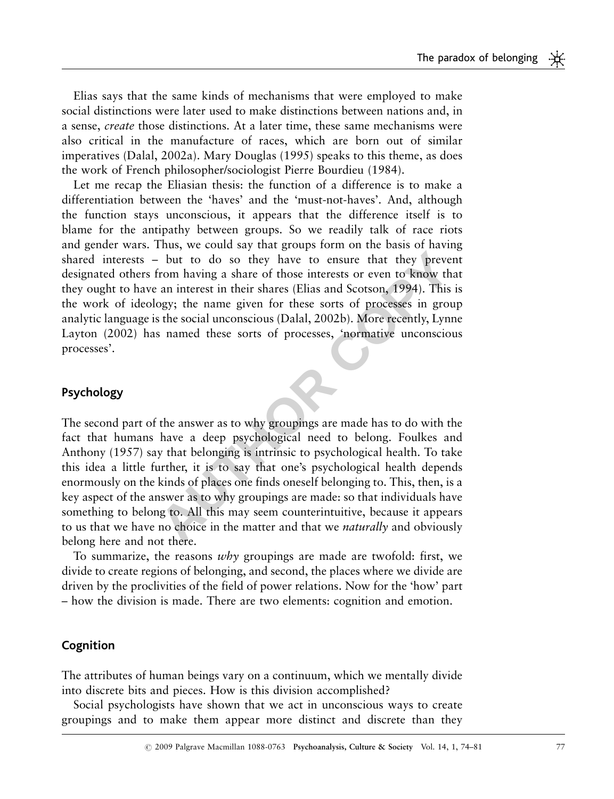Elias says that the same kinds of mechanisms that were employed to make social distinctions were later used to make distinctions between nations and, in a sense, create those distinctions. At a later time, these same mechanisms were also critical in the manufacture of races, which are born out of similar imperatives (Dalal, 2002a). Mary Douglas (1995) speaks to this theme, as does the work of French philosopher/sociologist Pierre Bourdieu (1984).

Let me recap the Eliasian thesis: the function of a difference is to make a differentiation between the 'haves' and the 'must-not-haves'. And, although the function stays unconscious, it appears that the difference itself is to blame for the antipathy between groups. So we readily talk of race riots and gender wars. Thus, we could say that groups form on the basis of having shared interests – but to do so they have to ensure that they prevent designated others from having a share of those interests or even to know that they ought to have an interest in their shares (Elias and Scotson, 1994). This is the work of ideology; the name given for these sorts of processes in group analytic language is the social unconscious (Dalal, 2002b). More recently, Lynne Layton (2002) has named these sorts of processes, 'normative unconscious processes'.

## Psychology

- but to do so they have to ensure that they prevent<br>from having a share of those interests or even to know that<br>an interest in their shares (Elias and Scotson, 1994). This is<br>ogy; the name given for these sorts of process The second part of the answer as to why groupings are made has to do with the fact that humans have a deep psychological need to belong. Foulkes and Anthony (1957) say that belonging is intrinsic to psychological health. To take this idea a little further, it is to say that one's psychological health depends enormously on the kinds of places one finds oneself belonging to. This, then, is a key aspect of the answer as to why groupings are made: so that individuals have something to belong to. All this may seem counterintuitive, because it appears to us that we have no choice in the matter and that we *naturally* and obviously belong here and not there.

To summarize, the reasons why groupings are made are twofold: first, we divide to create regions of belonging, and second, the places where we divide are driven by the proclivities of the field of power relations. Now for the 'how' part – how the division is made. There are two elements: cognition and emotion.

#### Cognition

The attributes of human beings vary on a continuum, which we mentally divide into discrete bits and pieces. How is this division accomplished?

Social psychologists have shown that we act in unconscious ways to create groupings and to make them appear more distinct and discrete than they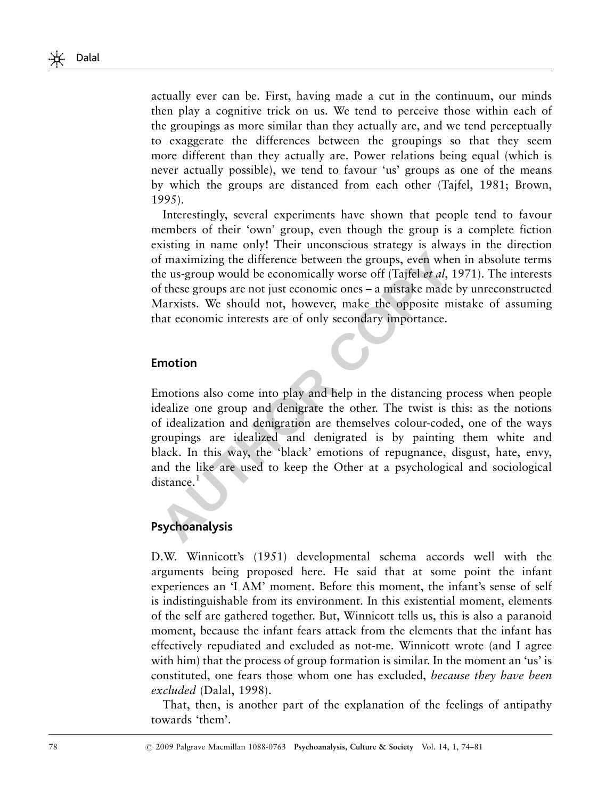actually ever can be. First, having made a cut in the continuum, our minds then play a cognitive trick on us. We tend to perceive those within each of the groupings as more similar than they actually are, and we tend perceptually to exaggerate the differences between the groupings so that they seem more different than they actually are. Power relations being equal (which is never actually possible), we tend to favour 'us' groups as one of the means by which the groups are distanced from each other (Tajfel, 1981; Brown, 1995).

Interestingly, several experiments have shown that people tend to favour members of their 'own' group, even though the group is a complete fiction existing in name only! Their unconscious strategy is always in the direction of maximizing the difference between the groups, even when in absolute terms the us-group would be economically worse off (Tajfel *et al*, 1971). The interests of these groups are not just economic ones – a mistake made by unreconstructed Marxists. We should not, however, make the opposite mistake of assuming that economic interests are of only secondary importance.

#### Emotion

of maximizing the difference between the groups, even when<br>the us-group would be economically worse off (Tajfel *et al*, 19<br>of these groups are not just economic ones – a mistake made by<br>*Aarxists*. We should not, however, Emotions also come into play and help in the distancing process when people idealize one group and denigrate the other. The twist is this: as the notions of idealization and denigration are themselves colour-coded, one of the ways groupings are idealized and denigrated is by painting them white and black. In this way, the 'black' emotions of repugnance, disgust, hate, envy, and the like are used to keep the Other at a psychological and sociological distance.<sup>1</sup>

#### Psychoanalysis

D.W. Winnicott's (1951) developmental schema accords well with the arguments being proposed here. He said that at some point the infant experiences an 'I AM' moment. Before this moment, the infant's sense of self is indistinguishable from its environment. In this existential moment, elements of the self are gathered together. But, Winnicott tells us, this is also a paranoid moment, because the infant fears attack from the elements that the infant has effectively repudiated and excluded as not-me. Winnicott wrote (and I agree with him) that the process of group formation is similar. In the moment an 'us' is constituted, one fears those whom one has excluded, *because they have been* excluded (Dalal, 1998).

That, then, is another part of the explanation of the feelings of antipathy towards 'them'.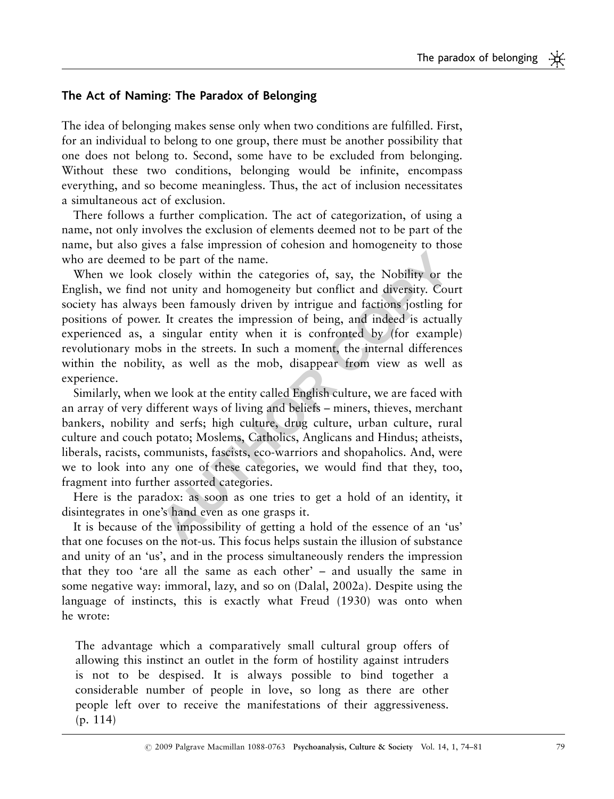## The Act of Naming: The Paradox of Belonging

The idea of belonging makes sense only when two conditions are fulfilled. First, for an individual to belong to one group, there must be another possibility that one does not belong to. Second, some have to be excluded from belonging. Without these two conditions, belonging would be infinite, encompass everything, and so become meaningless. Thus, the act of inclusion necessitates a simultaneous act of exclusion.

There follows a further complication. The act of categorization, of using a name, not only involves the exclusion of elements deemed not to be part of the name, but also gives a false impression of cohesion and homogeneity to those who are deemed to be part of the name.

b be part of the name.<br>
closely within the categories of, say, the Nobility or the<br>
ot unity and homogeneity but conflict and diversity. Court<br>
been famously driven by intrigue and factions jostling for<br>
c. It creates the When we look closely within the categories of, say, the Nobility or the English, we find not unity and homogeneity but conflict and diversity. Court society has always been famously driven by intrigue and factions jostling for positions of power. It creates the impression of being, and indeed is actually experienced as, a singular entity when it is confronted by (for example) revolutionary mobs in the streets. In such a moment, the internal differences within the nobility, as well as the mob, disappear from view as well as experience.

Similarly, when we look at the entity called English culture, we are faced with an array of very different ways of living and beliefs – miners, thieves, merchant bankers, nobility and serfs; high culture, drug culture, urban culture, rural culture and couch potato; Moslems, Catholics, Anglicans and Hindus; atheists, liberals, racists, communists, fascists, eco-warriors and shopaholics. And, were we to look into any one of these categories, we would find that they, too, fragment into further assorted categories.

Here is the paradox: as soon as one tries to get a hold of an identity, it disintegrates in one's hand even as one grasps it.

It is because of the impossibility of getting a hold of the essence of an 'us' that one focuses on the not-us. This focus helps sustain the illusion of substance and unity of an 'us', and in the process simultaneously renders the impression that they too 'are all the same as each other' – and usually the same in some negative way: immoral, lazy, and so on (Dalal, 2002a). Despite using the language of instincts, this is exactly what Freud (1930) was onto when he wrote:

The advantage which a comparatively small cultural group offers of allowing this instinct an outlet in the form of hostility against intruders is not to be despised. It is always possible to bind together a considerable number of people in love, so long as there are other people left over to receive the manifestations of their aggressiveness. (p. 114)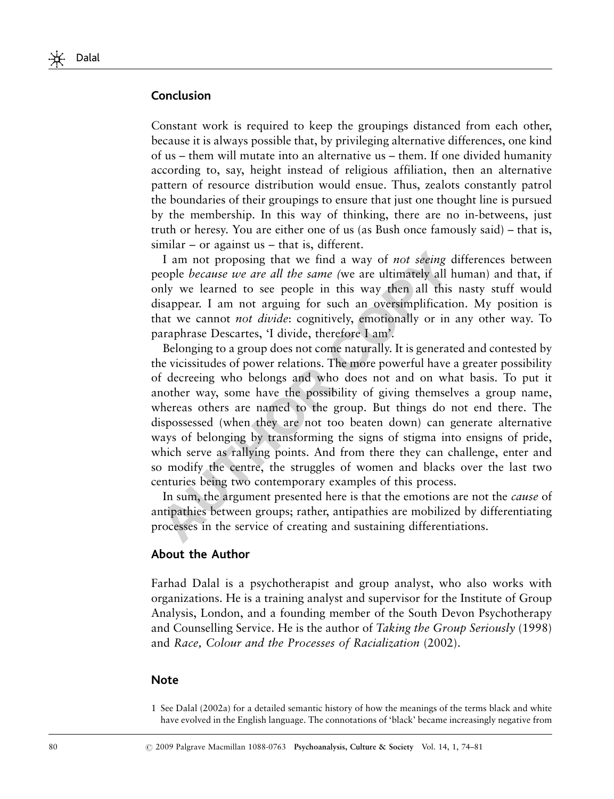#### Conclusion

Constant work is required to keep the groupings distanced from each other, because it is always possible that, by privileging alternative differences, one kind of us – them will mutate into an alternative us – them. If one divided humanity according to, say, height instead of religious affiliation, then an alternative pattern of resource distribution would ensue. Thus, zealots constantly patrol the boundaries of their groupings to ensure that just one thought line is pursued by the membership. In this way of thinking, there are no in-betweens, just truth or heresy. You are either one of us (as Bush once famously said) – that is, similar – or against us – that is, different.

I am not proposing that we find a way of not seeing differences between people *because we are all the same* (we are ultimately all human) and that, if only we learned to see people in this way then all this nasty stuff would disappear. I am not arguing for such an oversimplification. My position is that we cannot not divide: cognitively, emotionally or in any other way. To paraphrase Descartes, 'I divide, therefore I am'.

I am not proposing that we find a way of *not seeing* diffeople *because we are all the same* (we are ultimately all huly we learned to see people in this way then all this nisappear. I am not arguing for such an oversimpl Belonging to a group does not come naturally. It is generated and contested by the vicissitudes of power relations. The more powerful have a greater possibility of decreeing who belongs and who does not and on what basis. To put it another way, some have the possibility of giving themselves a group name, whereas others are named to the group. But things do not end there. The dispossessed (when they are not too beaten down) can generate alternative ways of belonging by transforming the signs of stigma into ensigns of pride, which serve as rallying points. And from there they can challenge, enter and so modify the centre, the struggles of women and blacks over the last two centuries being two contemporary examples of this process.

In sum, the argument presented here is that the emotions are not the *cause* of antipathies between groups; rather, antipathies are mobilized by differentiating processes in the service of creating and sustaining differentiations.

#### About the Author

Farhad Dalal is a psychotherapist and group analyst, who also works with organizations. He is a training analyst and supervisor for the Institute of Group Analysis, London, and a founding member of the South Devon Psychotherapy and Counselling Service. He is the author of Taking the Group Seriously (1998) and Race, Colour and the Processes of Racialization (2002).

#### **Note**

<sup>1</sup> See Dalal (2002a) for a detailed semantic history of how the meanings of the terms black and white have evolved in the English language. The connotations of 'black' became increasingly negative from